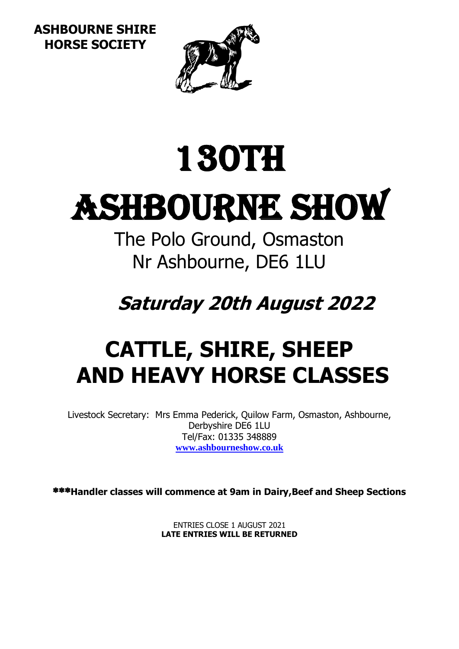**ASHBOURNE SHIRE HORSE SOCIETY**



# 130th

# Ashbourne Show

The Polo Ground, Osmaston Nr Ashbourne, DE6 1LU

**Saturday 20th August 2022**

## **CATTLE, SHIRE, SHEEP AND HEAVY HORSE CLASSES**

Livestock Secretary: Mrs Emma Pederick, Quilow Farm, Osmaston, Ashbourne, Derbyshire DE6 1LU Tel/Fax: 01335 348889 **[www.ashbourneshow.co.uk](http://www.ashbourneshow.co.uk/)**

**Handler classes will commence at 9am in Dairy,Beef and Sheep Sections**

ENTRIES CLOSE 1 AUGUST 2021 **LATE ENTRIES WILL BE RETURNED**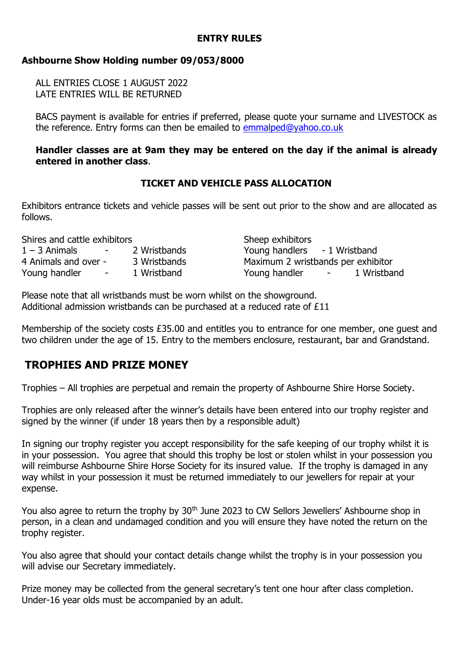#### **ENTRY RULES**

#### **Ashbourne Show Holding number 09/053/8000**

ALL ENTRIES CLOSE 1 AUGUST 2022 LATE ENTRIES WILL BE RETURNED

BACS payment is available for entries if preferred, please quote your surname and LIVESTOCK as the reference. Entry forms can then be emailed to [emmalped@yahoo.co.uk](mailto:emmalped@yahoo.co.uk)

#### **Handler classes are at 9am they may be entered on the day if the animal is already entered in another class**.

#### **TICKET AND VEHICLE PASS ALLOCATION**

Exhibitors entrance tickets and vehicle passes will be sent out prior to the show and are allocated as follows.

| Shires and cattle exhibitors |            |              | Sheep exhibitors                                |
|------------------------------|------------|--------------|-------------------------------------------------|
| $1 - 3$ Animals              | $\sim 100$ | 2 Wristbands | Young handlers - 1 Wristband                    |
| 4 Animals and over -         |            | 3 Wristbands | Maximum 2 wristbands per exhibitor              |
| Young handler                | $\sim$     | 1 Wristband  | Young handler<br>1 Wristband<br>$\sim$ 10 $\pm$ |

Please note that all wristbands must be worn whilst on the showground. Additional admission wristbands can be purchased at a reduced rate of £11

Membership of the society costs £35.00 and entitles you to entrance for one member, one guest and two children under the age of 15. Entry to the members enclosure, restaurant, bar and Grandstand.

#### **TROPHIES AND PRIZE MONEY**

Trophies – All trophies are perpetual and remain the property of Ashbourne Shire Horse Society.

Trophies are only released after the winner's details have been entered into our trophy register and signed by the winner (if under 18 years then by a responsible adult)

In signing our trophy register you accept responsibility for the safe keeping of our trophy whilst it is in your possession. You agree that should this trophy be lost or stolen whilst in your possession you will reimburse Ashbourne Shire Horse Society for its insured value. If the trophy is damaged in any way whilst in your possession it must be returned immediately to our jewellers for repair at your expense.

You also agree to return the trophy by 30<sup>th</sup> June 2023 to CW Sellors Jewellers' Ashbourne shop in person, in a clean and undamaged condition and you will ensure they have noted the return on the trophy register.

You also agree that should your contact details change whilst the trophy is in your possession you will advise our Secretary immediately.

Prize money may be collected from the general secretary's tent one hour after class completion. Under-16 year olds must be accompanied by an adult.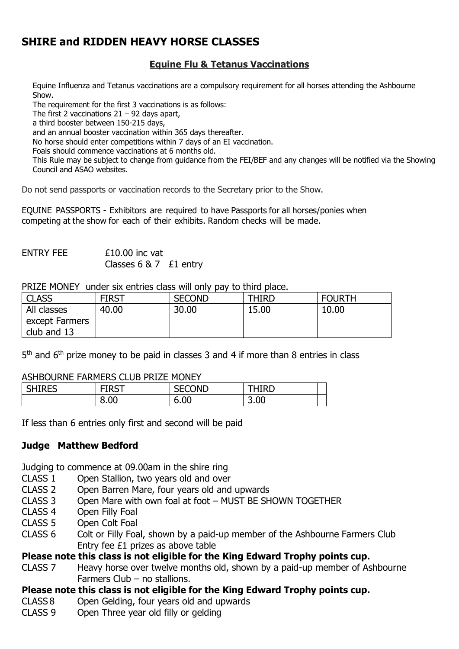#### **SHIRE and RIDDEN HEAVY HORSE CLASSES**

#### **Equine Flu & Tetanus Vaccinations**

Equine Influenza and Tetanus vaccinations are a compulsory requirement for all horses attending the Ashbourne Show.

The requirement for the first 3 vaccinations is as follows:

The first 2 vaccinations  $21 - 92$  days apart,

a third booster between 150-215 days,

and an annual booster vaccination within 365 days thereafter.

No horse should enter competitions within 7 days of an EI vaccination.

Foals should commence vaccinations at 6 months old.

This Rule may be subject to change from guidance from the FEI/BEF and any changes will be notified via the Showing Council and ASAO websites.

Do not send passports or vaccination records to the Secretary prior to the Show.

EQUINE PASSPORTS - Exhibitors are required to have Passports for all horses/ponies when competing at the show for each of their exhibits. Random checks will be made.

 $ENTRY FFF$   $f10.00$  inc vat Classes 6 & 7 £1 entry

PRIZE MONEY under six entries class will only pay to third place.

| <b>CLASS</b>   | <b>FIRST</b> | <b>SECOND</b> | <b>THIRD</b> | <b>FOURTH</b> |
|----------------|--------------|---------------|--------------|---------------|
| All classes    | 40.00        | 30.00         | 15.00        | 10.00         |
| except Farmers |              |               |              |               |
| club and 13    |              |               |              |               |

5<sup>th</sup> and 6<sup>th</sup> prize money to be paid in classes 3 and 4 if more than 8 entries in class

#### ASHBOURNE FARMERS CLUB PRIZE MONEY

| <b>CHIDEC</b> | -100T | <b>SECOND</b> | THIRD |
|---------------|-------|---------------|-------|
| פ∟חודוכ       | ו כחו | .             |       |
|               | 8.00  | 6.00          | 3.00  |

If less than 6 entries only first and second will be paid

#### **Judge Matthew Bedford**

Judging to commence at 09.00am in the shire ring

- CLASS 1 Open Stallion, two years old and over
- CLASS 2 Open Barren Mare, four years old and upwards
- CLASS 3 Open Mare with own foal at foot MUST BE SHOWN TOGETHER
- Open Filly Foal
- CLASS 5 Open Colt Foal
- CLASS 6 Colt or Filly Foal, shown by a paid-up member of the Ashbourne Farmers Club Entry fee £1 prizes as above table

**Please note this class is not eligible for the King Edward Trophy points cup.**

- CLASS 7 Heavy horse over twelve months old, shown by a paid-up member of Ashbourne Farmers Club – no stallions.
- **Please note this class is not eligible for the King Edward Trophy points cup.**
- CLASS 8 Open Gelding, four years old and upwards
- CLASS 9 Open Three year old filly or gelding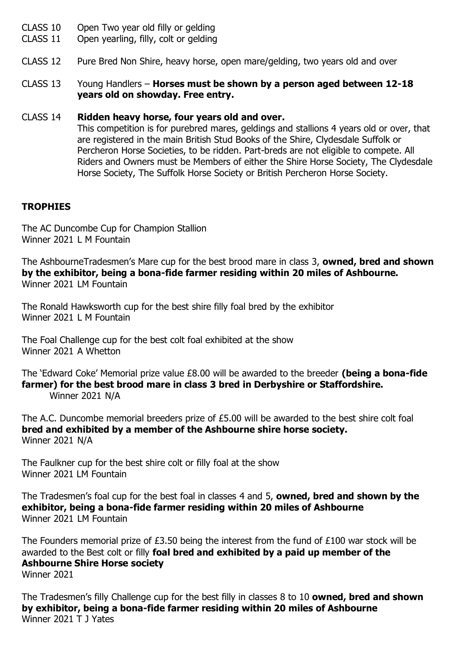- CLASS 10 Open Two year old filly or gelding
- CLASS 11 Open yearling, filly, colt or gelding
- CLASS 12 Pure Bred Non Shire, heavy horse, open mare/gelding, two years old and over
- CLASS 13 Young Handlers **Horses must be shown by a person aged between 12-18 years old on showday. Free entry.**

#### CLASS 14 **Ridden heavy horse, four years old and over.**

This competition is for purebred mares, geldings and stallions 4 years old or over, that are registered in the main British Stud Books of the Shire, Clydesdale Suffolk or Percheron Horse Societies, to be ridden. Part-breds are not eligible to compete. All Riders and Owners must be Members of either the Shire Horse Society, The Clydesdale Horse Society, The Suffolk Horse Society or British Percheron Horse Society.

#### **TROPHIES**

The AC Duncombe Cup for Champion Stallion Winner 2021 L M Fountain

The AshbourneTradesmen's Mare cup for the best brood mare in class 3, **owned, bred and shown by the exhibitor, being a bona-fide farmer residing within 20 miles of Ashbourne.** Winner 2021 LM Fountain

The Ronald Hawksworth cup for the best shire filly foal bred by the exhibitor Winner 2021 L M Fountain

The Foal Challenge cup for the best colt foal exhibited at the show Winner 2021 A Whetton

The 'Edward Coke' Memorial prize value £8.00 will be awarded to the breeder **(being a bona-fide farmer) for the best brood mare in class 3 bred in Derbyshire or Staffordshire.** Winner 2021 N/A

The A.C. Duncombe memorial breeders prize of £5.00 will be awarded to the best shire colt foal **bred and exhibited by a member of the Ashbourne shire horse society.** Winner 2021 N/A

The Faulkner cup for the best shire colt or filly foal at the show Winner 2021 LM Fountain

The Tradesmen's foal cup for the best foal in classes 4 and 5, **owned, bred and shown by the exhibitor, being a bona-fide farmer residing within 20 miles of Ashbourne** Winner 2021 LM Fountain

The Founders memorial prize of £3.50 being the interest from the fund of £100 war stock will be awarded to the Best colt or filly **foal bred and exhibited by a paid up member of the Ashbourne Shire Horse society**  Winner 2021

The Tradesmen's filly Challenge cup for the best filly in classes 8 to 10 **owned, bred and shown by exhibitor, being a bona-fide farmer residing within 20 miles of Ashbourne** Winner 2021 T J Yates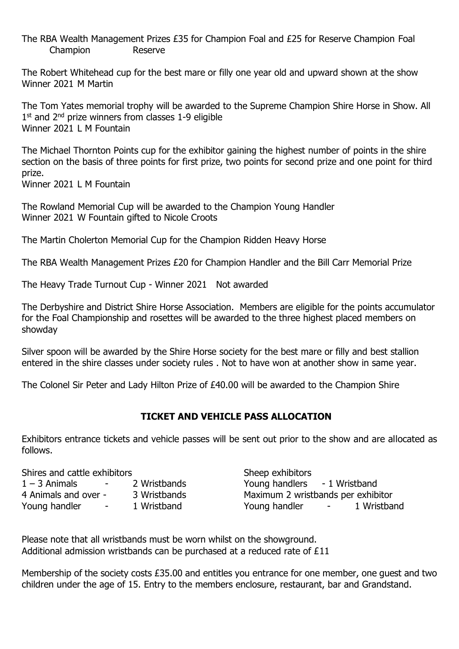The RBA Wealth Management Prizes £35 for Champion Foal and £25 for Reserve Champion Foal Champion Reserve

The Robert Whitehead cup for the best mare or filly one year old and upward shown at the show Winner 2021 M Martin

The Tom Yates memorial trophy will be awarded to the Supreme Champion Shire Horse in Show. All 1<sup>st</sup> and 2<sup>nd</sup> prize winners from classes 1-9 eligible Winner 2021 L M Fountain

The Michael Thornton Points cup for the exhibitor gaining the highest number of points in the shire section on the basis of three points for first prize, two points for second prize and one point for third prize.

Winner 2021 L M Fountain

The Rowland Memorial Cup will be awarded to the Champion Young Handler Winner 2021 W Fountain gifted to Nicole Croots

The Martin Cholerton Memorial Cup for the Champion Ridden Heavy Horse

The RBA Wealth Management Prizes £20 for Champion Handler and the Bill Carr Memorial Prize

The Heavy Trade Turnout Cup - Winner 2021 Not awarded

The Derbyshire and District Shire Horse Association. Members are eligible for the points accumulator for the Foal Championship and rosettes will be awarded to the three highest placed members on showday

Silver spoon will be awarded by the Shire Horse society for the best mare or filly and best stallion entered in the shire classes under society rules . Not to have won at another show in same year.

The Colonel Sir Peter and Lady Hilton Prize of £40.00 will be awarded to the Champion Shire

#### **TICKET AND VEHICLE PASS ALLOCATION**

Exhibitors entrance tickets and vehicle passes will be sent out prior to the show and are allocated as follows.

| Shires and cattle exhibitors |                                |              | Sheep exhibitors                   |                                                                                             |             |
|------------------------------|--------------------------------|--------------|------------------------------------|---------------------------------------------------------------------------------------------|-------------|
| $1 - 3$ Animals              | <b>Contract Contract State</b> | 2 Wristbands | Young handlers - 1 Wristband       |                                                                                             |             |
| 4 Animals and over -         |                                | 3 Wristbands | Maximum 2 wristbands per exhibitor |                                                                                             |             |
| Young handler                | $\sim$ $-$                     | 1 Wristband  | Young handler                      | $\mathcal{L}^{\mathcal{L}}$ and $\mathcal{L}^{\mathcal{L}}$ and $\mathcal{L}^{\mathcal{L}}$ | 1 Wristband |

Please note that all wristbands must be worn whilst on the showground. Additional admission wristbands can be purchased at a reduced rate of £11

Membership of the society costs £35.00 and entitles you entrance for one member, one guest and two children under the age of 15. Entry to the members enclosure, restaurant, bar and Grandstand.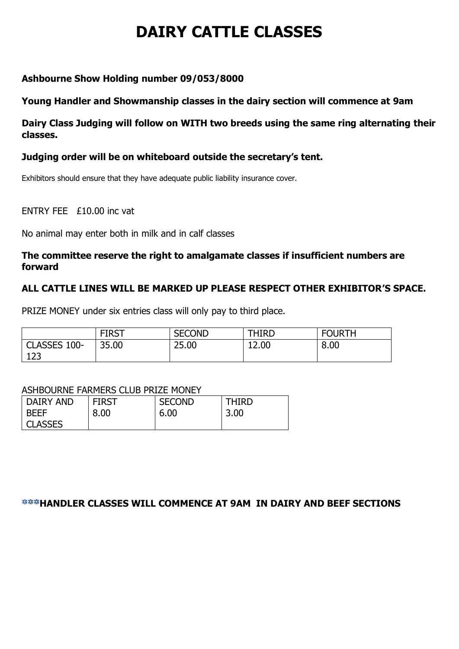## **DAIRY CATTLE CLASSES**

#### **Ashbourne Show Holding number 09/053/8000**

#### **Young Handler and Showmanship classes in the dairy section will commence at 9am**

**Dairy Class Judging will follow on WITH two breeds using the same ring alternating their classes.**

#### **Judging order will be on whiteboard outside the secretary's tent.**

Exhibitors should ensure that they have adequate public liability insurance cover.

ENTRY FEE £10.00 inc vat

No animal may enter both in milk and in calf classes

#### **The committee reserve the right to amalgamate classes if insufficient numbers are forward**

#### **ALL CATTLE LINES WILL BE MARKED UP PLEASE RESPECT OTHER EXHIBITOR'S SPACE.**

PRIZE MONEY under six entries class will only pay to third place.

|                     | <b>FIRST</b> | <b>SECOND</b> | <b>THIRD</b> | <b>FOURTH</b> |
|---------------------|--------------|---------------|--------------|---------------|
| CLASSES 100-<br>123 | 35.00        | 25.00         | 12.00        | 8.00          |

#### ASHBOURNE FARMERS CLUB PRIZE MONEY

| DAIRY AND      | <b>FIRST</b> | <b>SECOND</b> | THIRD |
|----------------|--------------|---------------|-------|
| <b>BEEF</b>    | 8.00         | 6.00          | 3.00  |
| <b>CLASSES</b> |              |               |       |

#### *<b>\*\*\*HANDLER CLASSES WILL COMMENCE AT 9AM IN DAIRY AND BEEF SECTIONS*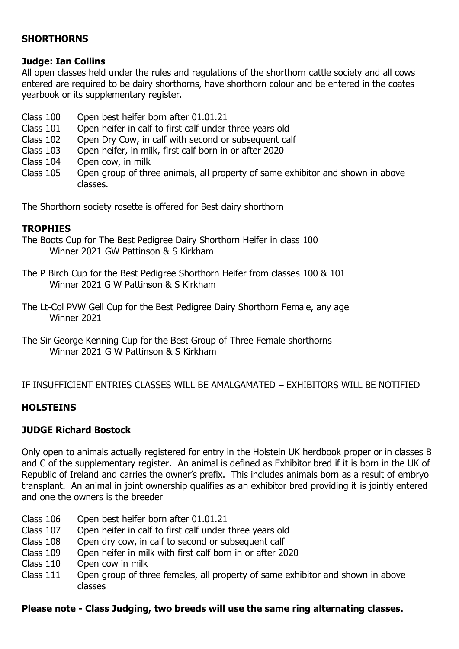#### **SHORTHORNS**

#### **Judge: Ian Collins**

All open classes held under the rules and regulations of the shorthorn cattle society and all cows entered are required to be dairy shorthorns, have shorthorn colour and be entered in the coates yearbook or its supplementary register.

- Class 100 Open best heifer born after 01.01.21
- Class 101 Open heifer in calf to first calf under three years old
- Class 102 Open Dry Cow, in calf with second or subsequent calf<br>Class 103 Open heifer, in milk, first calf born in or after 2020
- Open heifer, in milk, first calf born in or after 2020
- Class 104 Open cow, in milk
- Class 105 Open group of three animals, all property of same exhibitor and shown in above classes.

The Shorthorn society rosette is offered for Best dairy shorthorn

#### **TROPHIES**

- The Boots Cup for The Best Pedigree Dairy Shorthorn Heifer in class 100 Winner 2021 GW Pattinson & S Kirkham
- The P Birch Cup for the Best Pedigree Shorthorn Heifer from classes 100 & 101 Winner 2021 G W Pattinson & S Kirkham
- The Lt-Col PVW Gell Cup for the Best Pedigree Dairy Shorthorn Female, any age Winner 2021
- The Sir George Kenning Cup for the Best Group of Three Female shorthorns Winner 2021 G W Pattinson & S Kirkham

#### IF INSUFFICIENT ENTRIES CLASSES WILL BE AMALGAMATED – EXHIBITORS WILL BE NOTIFIED

#### **HOLSTEINS**

#### **JUDGE Richard Bostock**

Only open to animals actually registered for entry in the Holstein UK herdbook proper or in classes B and C of the supplementary register. An animal is defined as Exhibitor bred if it is born in the UK of Republic of Ireland and carries the owner's prefix. This includes animals born as a result of embryo transplant. An animal in joint ownership qualifies as an exhibitor bred providing it is jointly entered and one the owners is the breeder

- Class 106 Open best heifer born after 01.01.21
- Class 107 Open heifer in calf to first calf under three years old
- Class 108 Open dry cow, in calf to second or subsequent calf
- Class 109 Open heifer in milk with first calf born in or after 2020
- Class 110 Open cow in milk
- Class 111 Open group of three females, all property of same exhibitor and shown in above classes

#### **Please note - Class Judging, two breeds will use the same ring alternating classes.**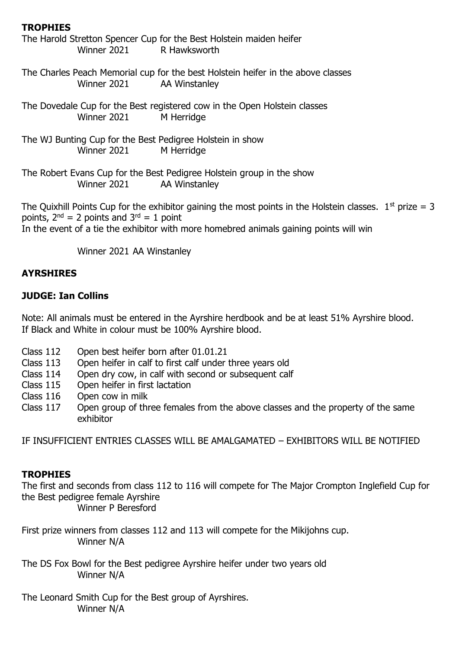#### **TROPHIES**

| Winner 2021 R Hawksworth                                                 | The Harold Stretton Spencer Cup for the Best Holstein maiden heifer                                        |
|--------------------------------------------------------------------------|------------------------------------------------------------------------------------------------------------|
| Winner 2021                                                              | The Charles Peach Memorial cup for the best Holstein heifer in the above classes<br>AA Winstanley          |
| Winner 2021                                                              | The Dovedale Cup for the Best registered cow in the Open Holstein classes<br>M Herridge                    |
| The WJ Bunting Cup for the Best Pedigree Holstein in show<br>Winner 2021 | M Herridge                                                                                                 |
| Winner 2021 AA Winstanley                                                | The Robert Evans Cup for the Best Pedigree Holstein group in the show                                      |
| points, $2^{nd} = 2$ points and $3^{rd} = 1$ point                       | The Quixhill Points Cup for the exhibitor gaining the most points in the Holstein classes. $1st$ prize = 3 |

In the event of a tie the exhibitor with more homebred animals gaining points will win

Winner 2021 AA Winstanley

#### **AYRSHIRES**

#### **JUDGE: Ian Collins**

Note: All animals must be entered in the Ayrshire herdbook and be at least 51% Ayrshire blood. If Black and White in colour must be 100% Ayrshire blood.

- Class 112 Open best heifer born after 01.01.21
- Class 113 Open heifer in calf to first calf under three years old
- Class 114 Open dry cow, in calf with second or subsequent calf
- Class 115 Open heifer in first lactation
- Class 116 Open cow in milk
- Class 117 Open group of three females from the above classes and the property of the same exhibitor

IF INSUFFICIENT ENTRIES CLASSES WILL BE AMALGAMATED – EXHIBITORS WILL BE NOTIFIED

#### **TROPHIES**

The first and seconds from class 112 to 116 will compete for The Major Crompton Inglefield Cup for the Best pedigree female Ayrshire Winner P Beresford

First prize winners from classes 112 and 113 will compete for the Mikijohns cup. Winner N/A

The DS Fox Bowl for the Best pedigree Ayrshire heifer under two years old Winner N/A

The Leonard Smith Cup for the Best group of Ayrshires. Winner N/A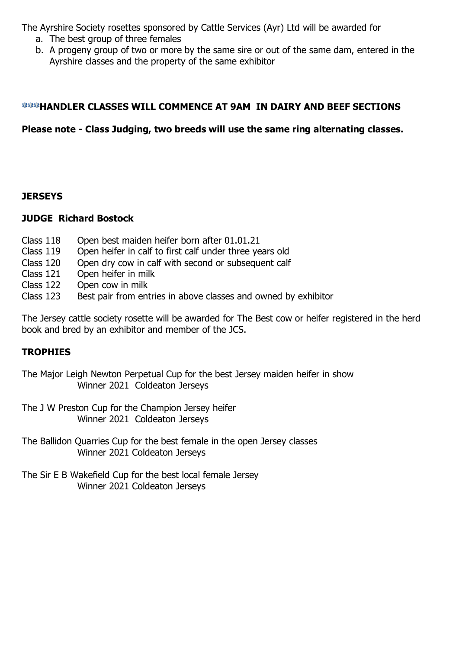The Ayrshire Society rosettes sponsored by Cattle Services (Ayr) Ltd will be awarded for

- a. The best group of three females
- b. A progeny group of two or more by the same sire or out of the same dam, entered in the Ayrshire classes and the property of the same exhibitor

#### *<b>\*\*\*HANDLER CLASSES WILL COMMENCE AT 9AM IN DAIRY AND BEEF SECTIONS*

**Please note - Class Judging, two breeds will use the same ring alternating classes.**

#### **JERSEYS**

#### **JUDGE Richard Bostock**

- Class 118 Open best maiden heifer born after 01.01.21
- Class 119 Open heifer in calf to first calf under three years old
- Class 120 Open dry cow in calf with second or subsequent calf
- Class 121 Open heifer in milk
- Class 122 Open cow in milk
- Class 123 Best pair from entries in above classes and owned by exhibitor

The Jersey cattle society rosette will be awarded for The Best cow or heifer registered in the herd book and bred by an exhibitor and member of the JCS.

#### **TROPHIES**

The Major Leigh Newton Perpetual Cup for the best Jersey maiden heifer in show Winner 2021 Coldeaton Jerseys

The J W Preston Cup for the Champion Jersey heifer Winner 2021 Coldeaton Jerseys

The Ballidon Quarries Cup for the best female in the open Jersey classes Winner 2021 Coldeaton Jerseys

The Sir E B Wakefield Cup for the best local female Jersey Winner 2021 Coldeaton Jerseys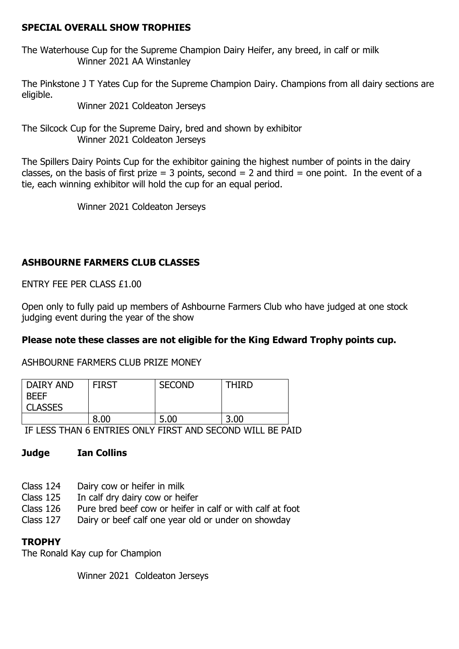#### **SPECIAL OVERALL SHOW TROPHIES**

The Waterhouse Cup for the Supreme Champion Dairy Heifer, any breed, in calf or milk Winner 2021 AA Winstanley

The Pinkstone J T Yates Cup for the Supreme Champion Dairy. Champions from all dairy sections are eligible.

Winner 2021 Coldeaton Jerseys

The Silcock Cup for the Supreme Dairy, bred and shown by exhibitor Winner 2021 Coldeaton Jerseys

The Spillers Dairy Points Cup for the exhibitor gaining the highest number of points in the dairy classes, on the basis of first prize = 3 points, second = 2 and third = one point. In the event of a tie, each winning exhibitor will hold the cup for an equal period.

Winner 2021 Coldeaton Jerseys

#### **ASHBOURNE FARMERS CLUB CLASSES**

ENTRY FEE PER CLASS £1.00

Open only to fully paid up members of Ashbourne Farmers Club who have judged at one stock judging event during the year of the show

#### **Please note these classes are not eligible for the King Edward Trophy points cup.**

ASHBOURNE FARMERS CLUB PRIZE MONEY

| DAIRY AND<br><b>BEEF</b><br><b>CLASSES</b> | <b>FIRST</b> | <b>SECOND</b> | THIRD |
|--------------------------------------------|--------------|---------------|-------|
|                                            | 8.00         | 5.00          | 3.00  |

IF LESS THAN 6 ENTRIES ONLY FIRST AND SECOND WILL BE PAID

#### **Judge Ian Collins**

- Class 124 Dairy cow or heifer in milk
- Class 125 In calf dry dairy cow or heifer
- Class 126 Pure bred beef cow or heifer in calf or with calf at foot
- Class 127 Dairy or beef calf one year old or under on showday

#### **TROPHY**

The Ronald Kay cup for Champion

Winner 2021 Coldeaton Jerseys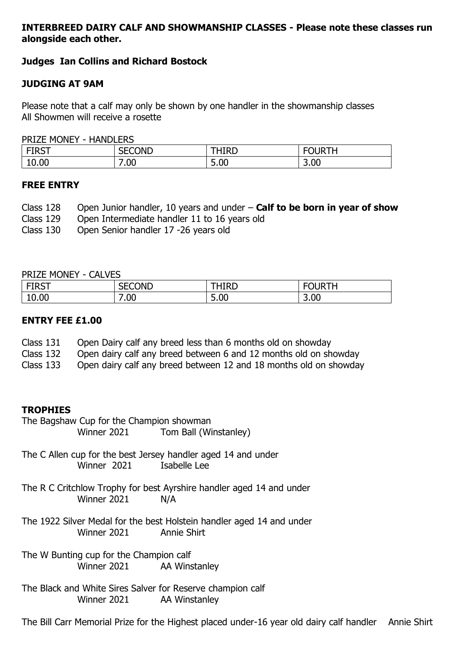#### **INTERBREED DAIRY CALF AND SHOWMANSHIP CLASSES - Please note these classes run alongside each other.**

#### **Judges Ian Collins and Richard Bostock**

#### **JUDGING AT 9AM**

Please note that a calf may only be shown by one handler in the showmanship classes All Showmen will receive a rosette

PRIZE MONEY - HANDLERS

| $-$ - $-$<br>TUNT | <b>SECOND</b>      | HIRD | ۱ь                               |
|-------------------|--------------------|------|----------------------------------|
| 10.00             | -<br>$\cap$<br>.uu | 5.00 | 3.00<br>$\overline{\phantom{0}}$ |

#### **FREE ENTRY**

| Class 128 Open Junior handler, 10 years and under $-$ Calf to be born in year of show |
|---------------------------------------------------------------------------------------|
| Class 129 Open Intermediate handler 11 to 16 years old                                |
| Class 120 Open Cenier handler 17, 26 vears old                                        |

Class 130 Open Senior handler 17 -26 years old

#### PRIZE MONEY - CALVES

| <b>ETDCT</b><br>ו כחו | <b>SECOND</b> | ŀIRD | $F^{\prime}$ $F^{\prime}$<br>Jb |
|-----------------------|---------------|------|---------------------------------|
| 10.00                 | 00.'          | 5.00 | 3.00                            |

#### **ENTRY FEE £1.00**

- Class 131 Open Dairy calf any breed less than 6 months old on showday
- Class 132 Open dairy calf any breed between 6 and 12 months old on showday
- Class 133 Open dairy calf any breed between 12 and 18 months old on showday

#### **TROPHIES**

- The Bagshaw Cup for the Champion showman Winner 2021 Tom Ball (Winstanley)
- The C Allen cup for the best Jersey handler aged 14 and under Winner 2021 Isabelle Lee
- The R C Critchlow Trophy for best Ayrshire handler aged 14 and under Winner 2021 N/A
- The 1922 Silver Medal for the best Holstein handler aged 14 and under Winner 2021 Annie Shirt
- The W Bunting cup for the Champion calf Winner 2021 AA Winstanley
- The Black and White Sires Salver for Reserve champion calf Winner 2021 AA Winstanley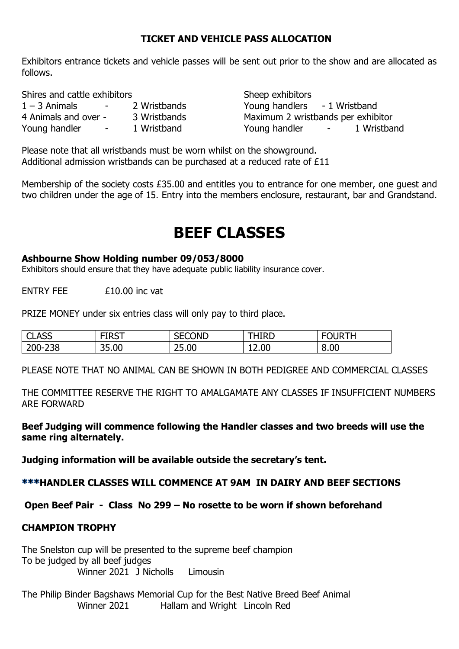#### **TICKET AND VEHICLE PASS ALLOCATION**

Exhibitors entrance tickets and vehicle passes will be sent out prior to the show and are allocated as follows.

Shires and cattle exhibitors Shires and cattle exhibitors

| $1 - 3$ Animals      | - | 2 Wristbands |
|----------------------|---|--------------|
| 4 Animals and over - |   | 3 Wristbands |
| Young handler        | - | 1 Wristband  |

Young handlers - 1 Wristband Maximum 2 wristbands per exhibitor Young handler - 1 Wristband

Please note that all wristbands must be worn whilst on the showground. Additional admission wristbands can be purchased at a reduced rate of £11

Membership of the society costs £35.00 and entitles you to entrance for one member, one guest and two children under the age of 15. Entry into the members enclosure, restaurant, bar and Grandstand.

### **BEEF CLASSES**

#### **Ashbourne Show Holding number 09/053/8000**

Exhibitors should ensure that they have adequate public liability insurance cover.

ENTRY FEE £10.00 inc vat

PRIZE MONEY under six entries class will only pay to third place.

| <b>ACC</b><br>ັບພາບ         | -----<br>ו כתו | ECOND<br>.<br>∵∟ت | IIRD  | ıκ   |
|-----------------------------|----------------|-------------------|-------|------|
| 238<br><b>300</b><br>∠∪∪- 1 | 35.00          | 25.00             | 12.00 | 8.00 |

PLEASE NOTE THAT NO ANIMAL CAN BE SHOWN IN BOTH PEDIGREE AND COMMERCIAL CLASSES

THE COMMITTEE RESERVE THE RIGHT TO AMALGAMATE ANY CLASSES IF INSUFFICIENT NUMBERS ARE FORWARD

**Beef Judging will commence following the Handler classes and two breeds will use the same ring alternately.**

**Judging information will be available outside the secretary's tent.**

**HANDLER CLASSES WILL COMMENCE AT 9AM IN DAIRY AND BEEF SECTIONS**

**Open Beef Pair - Class No 299 – No rosette to be worn if shown beforehand**

#### **CHAMPION TROPHY**

The Snelston cup will be presented to the supreme beef champion To be judged by all beef judges Winner 2021 J Nicholls Limousin

The Philip Binder Bagshaws Memorial Cup for the Best Native Breed Beef Animal Winner 2021 Hallam and Wright Lincoln Red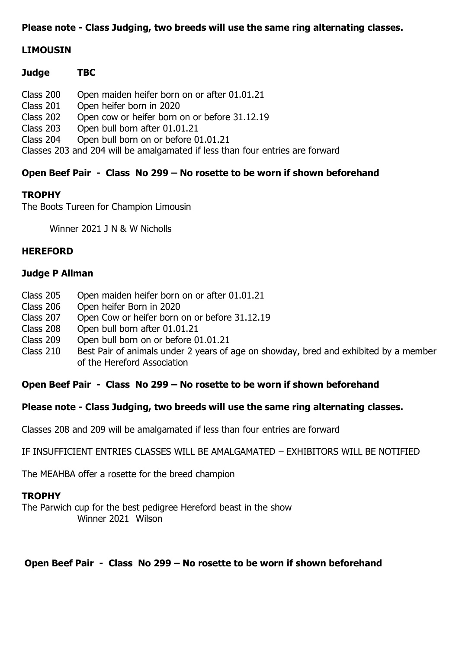#### **Please note - Class Judging, two breeds will use the same ring alternating classes.**

#### **LIMOUSIN**

| <b>Judge</b>                                                                  | TBC                                           |  |  |
|-------------------------------------------------------------------------------|-----------------------------------------------|--|--|
| Class 200                                                                     | Open maiden heifer born on or after 01.01.21  |  |  |
| Class 201                                                                     | Open heifer born in 2020                      |  |  |
| Class 202                                                                     | Open cow or heifer born on or before 31.12.19 |  |  |
| Class 203                                                                     | Open bull born after 01.01.21                 |  |  |
| Class 204                                                                     | Open bull born on or before 01.01.21          |  |  |
| Classes 203 and 204 will be amalgamated if less than four entries are forward |                                               |  |  |

#### **Open Beef Pair - Class No 299 – No rosette to be worn if shown beforehand**

#### **TROPHY**

The Boots Tureen for Champion Limousin

Winner 2021 J N & W Nicholls

#### **HEREFORD**

#### **Judge P Allman**

- Class 205 Open maiden heifer born on or after 01.01.21
- Class 206 Open heifer Born in 2020
- Class 207 Open Cow or heifer born on or before 31.12.19
- Class 208 Open bull born after 01.01.21
- Class 209 Open bull born on or before 01.01.21
- Class 210 Best Pair of animals under 2 years of age on showday, bred and exhibited by a member of the Hereford Association

#### **Open Beef Pair - Class No 299 – No rosette to be worn if shown beforehand**

#### **Please note - Class Judging, two breeds will use the same ring alternating classes.**

Classes 208 and 209 will be amalgamated if less than four entries are forward

IF INSUFFICIENT ENTRIES CLASSES WILL BE AMALGAMATED – EXHIBITORS WILL BE NOTIFIED

The MEAHBA offer a rosette for the breed champion

#### **TROPHY**

The Parwich cup for the best pedigree Hereford beast in the show Winner 2021 Wilson

#### **Open Beef Pair - Class No 299 – No rosette to be worn if shown beforehand**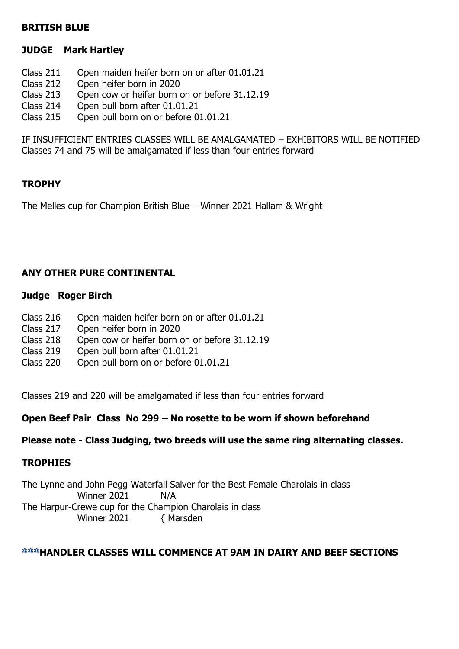#### **BRITISH BLUE**

#### **JUDGE Mark Hartley**

- Class 211 Open maiden heifer born on or after 01.01.21
- Class 212 Open heifer born in 2020
- Class 213 Open cow or heifer born on or before 31.12.19
- Class 214 Open bull born after 01.01.21<br>Class 215 Open bull born on or before 0
- Open bull born on or before  $01.01.21$

IF INSUFFICIENT ENTRIES CLASSES WILL BE AMALGAMATED – EXHIBITORS WILL BE NOTIFIED Classes 74 and 75 will be amalgamated if less than four entries forward

#### **TROPHY**

The Melles cup for Champion British Blue – Winner 2021 Hallam & Wright

#### **ANY OTHER PURE CONTINENTAL**

#### **Judge Roger Birch**

- Class 216 Open maiden heifer born on or after 01.01.21
- Class 217 Open heifer born in 2020
- Class 218 Open cow or heifer born on or before 31.12.19
- Class 219 Open bull born after 01.01.21
- Class 220 Open bull born on or before 01.01.21

Classes 219 and 220 will be amalgamated if less than four entries forward

#### **Open Beef Pair Class No 299 – No rosette to be worn if shown beforehand**

#### **Please note - Class Judging, two breeds will use the same ring alternating classes.**

#### **TROPHIES**

The Lynne and John Pegg Waterfall Salver for the Best Female Charolais in class Winner 2021 N/A The Harpur-Crewe cup for the Champion Charolais in class Winner 2021 { Marsden

#### *<b>\*\*\*HANDLER CLASSES WILL COMMENCE AT 9AM IN DAIRY AND BEEF SECTIONS*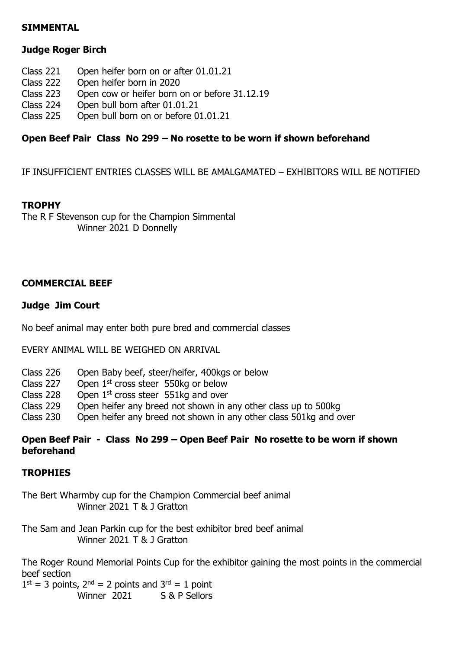#### **SIMMENTAL**

#### **Judge Roger Birch**

- Class 221 Open heifer born on or after 01.01.21
- Class 222 Open heifer born in 2020<br>Class 223 Open cow or heifer horn
- Open cow or heifer born on or before 31.12.19
- Class 224 Open bull born after 01.01.21
- Class 225 Open bull born on or before 01.01.21

#### **Open Beef Pair Class No 299 – No rosette to be worn if shown beforehand**

IF INSUFFICIENT ENTRIES CLASSES WILL BE AMALGAMATED – EXHIBITORS WILL BE NOTIFIED

#### **TROPHY**

The R F Stevenson cup for the Champion Simmental Winner 2021 D Donnelly

#### **COMMERCIAL BEEF**

#### **Judge Jim Court**

No beef animal may enter both pure bred and commercial classes

EVERY ANIMAL WILL BE WEIGHED ON ARRIVAL

- Class 226 Open Baby beef, steer/heifer, 400kgs or below
- Class 227 Open  $1<sup>st</sup>$  cross steer 550kg or below
- Class 228 Open  $1<sup>st</sup>$  cross steer 551kg and over
- Class 229 Open heifer any breed not shown in any other class up to 500kg
- Class 230 Open heifer any breed not shown in any other class 501kg and over

#### **Open Beef Pair - Class No 299 – Open Beef Pair No rosette to be worn if shown beforehand**

#### **TROPHIES**

The Bert Wharmby cup for the Champion Commercial beef animal Winner 2021 T & J Gratton

The Sam and Jean Parkin cup for the best exhibitor bred beef animal Winner 2021 T & J Gratton

The Roger Round Memorial Points Cup for the exhibitor gaining the most points in the commercial beef section

 $1<sup>st</sup> = 3$  points,  $2<sup>nd</sup> = 2$  points and  $3<sup>rd</sup> = 1$  point Winner 2021 S & P Sellors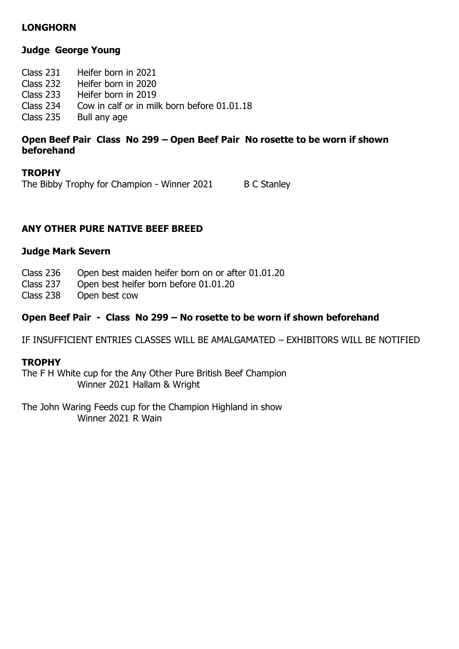#### **LONGHORN**

#### **Judge George Young**

Class 231 Heifer born in 2021 Class 232 Heifer born in 2020 Class 233 Heifer born in 2019 Class 234 Cow in calf or in milk born before 01.01.18<br>Class 235 Bull any age Bull any age

#### **Open Beef Pair Class No 299 – Open Beef Pair No rosette to be worn if shown beforehand**

#### **TROPHY**

The Bibby Trophy for Champion - Winner 2021 B C Stanley

#### **ANY OTHER PURE NATIVE BEEF BREED**

#### **Judge Mark Severn**

| Class 236 | Open best maiden heifer born on or after 01.01.20 |  |  |
|-----------|---------------------------------------------------|--|--|
|-----------|---------------------------------------------------|--|--|

- Class 237 Open best heifer born before 01.01.20
- Class 238 Open best cow

#### **Open Beef Pair - Class No 299 – No rosette to be worn if shown beforehand**

IF INSUFFICIENT ENTRIES CLASSES WILL BE AMALGAMATED – EXHIBITORS WILL BE NOTIFIED

#### **TROPHY**

The F H White cup for the Any Other Pure British Beef Champion Winner 2021 Hallam & Wright

The John Waring Feeds cup for the Champion Highland in show Winner 2021 R Wain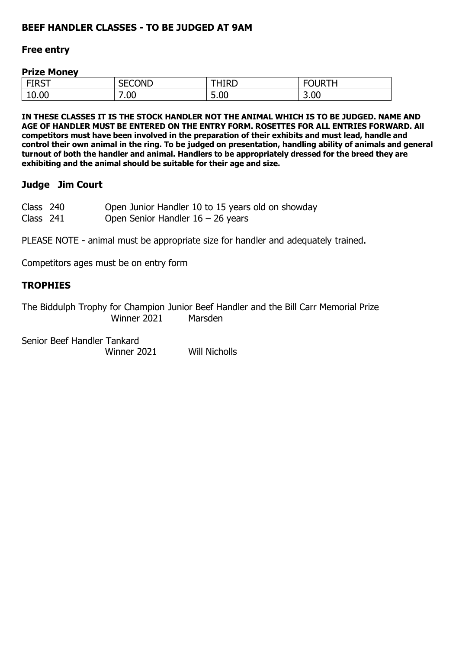#### **BEEF HANDLER CLASSES - TO BE JUDGED AT 9AM**

#### **Free entry**

#### **Prize Money**

| <b>FIRST</b><br>11 P L | <b>SECOND</b><br><b>JLJVI</b> | <b>THIRD</b>                                      | ገl IRTH        |
|------------------------|-------------------------------|---------------------------------------------------|----------------|
| 10.00                  | $^{\prime}.00$                | $\sim$<br>$\overline{\phantom{0}}$<br><b>J.UU</b> | 3.00<br>$\sim$ |

**IN THESE CLASSES IT IS THE STOCK HANDLER NOT THE ANIMAL WHICH IS TO BE JUDGED. NAME AND AGE OF HANDLER MUST BE ENTERED ON THE ENTRY FORM. ROSETTES FOR ALL ENTRIES FORWARD. All competitors must have been involved in the preparation of their exhibits and must lead, handle and control their own animal in the ring. To be judged on presentation, handling ability of animals and general turnout of both the handler and animal. Handlers to be appropriately dressed for the breed they are exhibiting and the animal should be suitable for their age and size.** 

#### **Judge Jim Court**

| Class 240 | Open Junior Handler 10 to 15 years old on showday |
|-----------|---------------------------------------------------|
| Class 241 | Open Senior Handler $16 - 26$ years               |

PLEASE NOTE - animal must be appropriate size for handler and adequately trained.

Competitors ages must be on entry form

#### **TROPHIES**

The Biddulph Trophy for Champion Junior Beef Handler and the Bill Carr Memorial Prize Winner 2021 Marsden

Senior Beef Handler Tankard Winner 2021 Will Nicholls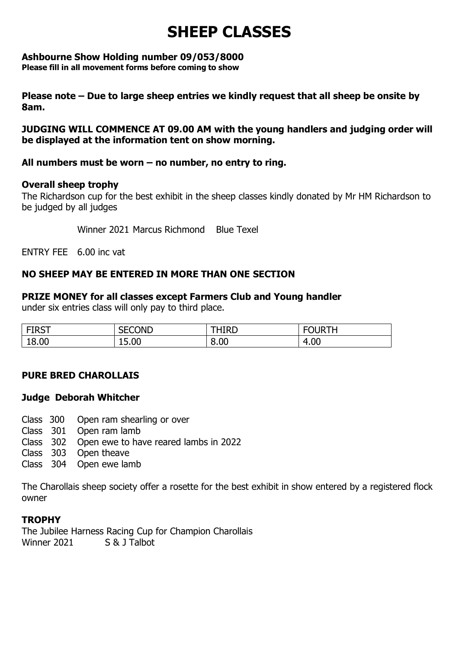## **SHEEP CLASSES**

#### **Ashbourne Show Holding number 09/053/8000**

**Please fill in all movement forms before coming to show**

**Please note – Due to large sheep entries we kindly request that all sheep be onsite by 8am.** 

**JUDGING WILL COMMENCE AT 09.00 AM with the young handlers and judging order will be displayed at the information tent on show morning.** 

#### **All numbers must be worn – no number, no entry to ring.**

#### **Overall sheep trophy**

The Richardson cup for the best exhibit in the sheep classes kindly donated by Mr HM Richardson to be judged by all judges

Winner 2021 Marcus Richmond Blue Texel

ENTRY FEE 6.00 inc vat

#### **NO SHEEP MAY BE ENTERED IN MORE THAN ONE SECTION**

#### **PRIZE MONEY for all classes except Farmers Club and Young handler**

under six entries class will only pay to third place.

| <b>FIDCT</b><br>1NJ 1 | <b>SECOND</b> | HIRD | $F^{\prime}$ $F^{\prime}$<br><b>JI JR</b><br>− |
|-----------------------|---------------|------|------------------------------------------------|
| 18.00                 | 15.00         | 8.00 | 4.00<br>$\overline{\mathbf{u}}$                |

#### **PURE BRED CHAROLLAIS**

#### **Judge Deborah Whitcher**

- Class 300 Open ram shearling or over
- Class 301 Open ram lamb
- Class 302 Open ewe to have reared lambs in 2022
- Class 303 Open theave
- Class 304 Open ewe lamb

The Charollais sheep society offer a rosette for the best exhibit in show entered by a registered flock owner

#### **TROPHY**

The Jubilee Harness Racing Cup for Champion Charollais Winner 2021 S & 1 Talbot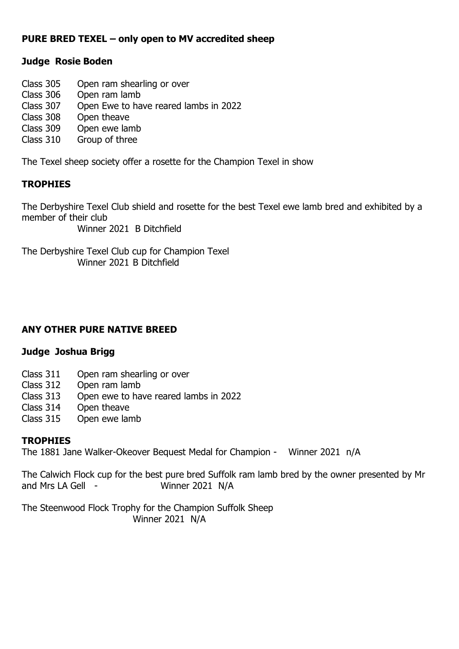#### **PURE BRED TEXEL – only open to MV accredited sheep**

#### **Judge Rosie Boden**

- Class 305 Open ram shearling or over
- Class 306 Open ram lamb
- Class 307 Open Ewe to have reared lambs in 2022
- Open theave
- Class 309 Open ewe lamb
- Class 310 Group of three

The Texel sheep society offer a rosette for the Champion Texel in show

#### **TROPHIES**

The Derbyshire Texel Club shield and rosette for the best Texel ewe lamb bred and exhibited by a member of their club

Winner 2021 B Ditchfield

The Derbyshire Texel Club cup for Champion Texel Winner 2021 B Ditchfield

#### **ANY OTHER PURE NATIVE BREED**

#### **Judge Joshua Brigg**

- Class 311 Open ram shearling or over
- Class 312 Open ram lamb
- Class 313 Open ewe to have reared lambs in 2022
- Class 314 Open theave
- Class 315 Open ewe lamb

#### **TROPHIES**

The 1881 Jane Walker-Okeover Bequest Medal for Champion - Winner 2021 n/A

The Calwich Flock cup for the best pure bred Suffolk ram lamb bred by the owner presented by Mr and Mrs LA Gell - Winner 2021 N/A

The Steenwood Flock Trophy for the Champion Suffolk Sheep Winner 2021 N/A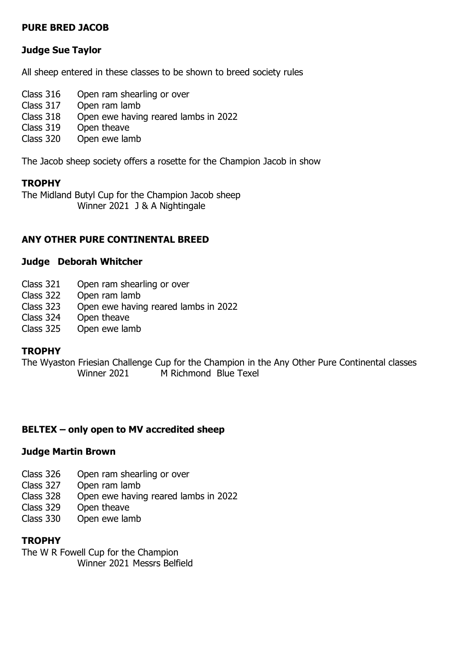#### **PURE BRED JACOB**

#### **Judge Sue Taylor**

All sheep entered in these classes to be shown to breed society rules

- Class 316 Open ram shearling or over
- Class 317 Open ram lamb
- Class 318 Open ewe having reared lambs in 2022
- Class 319 Open theave
- Class 320 Open ewe lamb

The Jacob sheep society offers a rosette for the Champion Jacob in show

#### **TROPHY**

The Midland Butyl Cup for the Champion Jacob sheep Winner 2021 J & A Nightingale

#### **ANY OTHER PURE CONTINENTAL BREED**

#### **Judge Deborah Whitcher**

- Class 321 Open ram shearling or over
- Class 322 Open ram lamb
- Class 323 Open ewe having reared lambs in 2022
- Class 324 Open theave
- Class 325 Open ewe lamb

#### **TROPHY**

The Wyaston Friesian Challenge Cup for the Champion in the Any Other Pure Continental classes Winner 2021 M Richmond Blue Texel

#### **BELTEX – only open to MV accredited sheep**

#### **Judge Martin Brown**

- Class 326 Open ram shearling or over
- Class 327 Open ram lamb
- Class 328 Open ewe having reared lambs in 2022
- Class 329 Open theave
- Class 330 Open ewe lamb

#### **TROPHY**

The W R Fowell Cup for the Champion Winner 2021 Messrs Belfield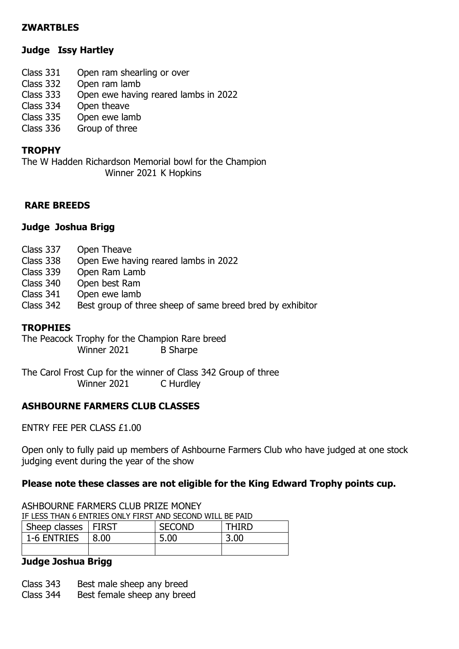#### **ZWARTBLES**

#### **Judge Issy Hartley**

- Class 331 Open ram shearling or over
- Class 332 Open ram lamb
- Class 333 Open ewe having reared lambs in 2022
- Class 334 Open theave<br>Class 335 Open ewe lar
- Open ewe lamb
- Class 336 Group of three

#### **TROPHY**

The W Hadden Richardson Memorial bowl for the Champion Winner 2021 K Hopkins

#### **RARE BREEDS**

#### **Judge Joshua Brigg**

- Class 337 Open Theave
- Class 338 Open Ewe having reared lambs in 2022
- Class 339 Open Ram Lamb
- Class 340 Open best Ram
- Class 341 Open ewe lamb
- Class 342 Best group of three sheep of same breed bred by exhibitor

#### **TROPHIES**

The Peacock Trophy for the Champion Rare breed Winner 2021 B Sharpe

The Carol Frost Cup for the winner of Class 342 Group of three Winner 2021 C Hurdley

#### **ASHBOURNE FARMERS CLUB CLASSES**

ASHROURNE FARMERS CLUB PRIZE MONEY

ENTRY FEE PER CLASS £1.00

Open only to fully paid up members of Ashbourne Farmers Club who have judged at one stock judging event during the year of the show

#### **Please note these classes are not eligible for the King Edward Trophy points cup.**

| IF LESS THAN 6 ENTRIES ONLY FIRST AND SECOND WILL BE PAID |      |               |              |  |
|-----------------------------------------------------------|------|---------------|--------------|--|
| Sheep classes   FIRST                                     |      | <b>SECOND</b> | <b>THIRD</b> |  |
| 1-6 ENTRIES                                               | 8.00 | 5.00          | 3.00         |  |
|                                                           |      |               |              |  |

#### **Judge Joshua Brigg**

- Class 343 Best male sheep any breed
- Class 344 Best female sheep any breed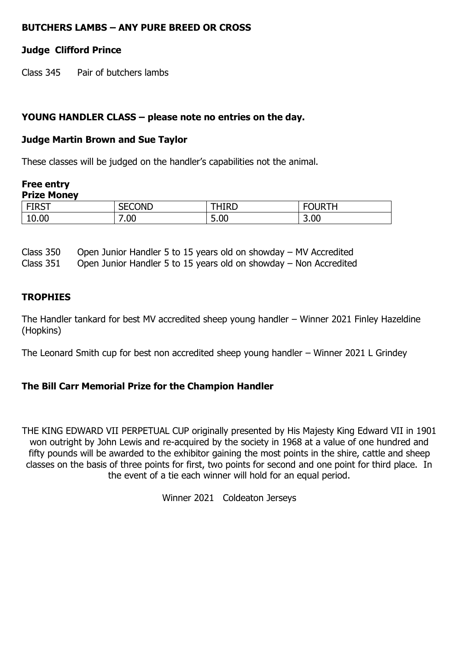#### **BUTCHERS LAMBS – ANY PURE BREED OR CROSS**

#### **Judge Clifford Prince**

Class 345 Pair of butchers lambs

#### **YOUNG HANDLER CLASS – please note no entries on the day.**

#### **Judge Martin Brown and Sue Taylor**

These classes will be judged on the handler's capabilities not the animal.

#### **Free entry Prize Money**

| $-700$ | SECOND   | . .                              |      |
|--------|----------|----------------------------------|------|
| 1NJ 1  | ◡◡╷▾◡    | 11 N.P                           |      |
| 10.00  | .00<br>- | $\overline{\phantom{0}}$<br>5.00 | 3.00 |

Class 350 Open Junior Handler 5 to 15 years old on showday – MV Accredited

Class 351 Open Junior Handler 5 to 15 years old on showday – Non Accredited

#### **TROPHIES**

The Handler tankard for best MV accredited sheep young handler – Winner 2021 Finley Hazeldine (Hopkins)

The Leonard Smith cup for best non accredited sheep young handler – Winner 2021 L Grindey

#### **The Bill Carr Memorial Prize for the Champion Handler**

THE KING EDWARD VII PERPETUAL CUP originally presented by His Majesty King Edward VII in 1901 won outright by John Lewis and re-acquired by the society in 1968 at a value of one hundred and fifty pounds will be awarded to the exhibitor gaining the most points in the shire, cattle and sheep classes on the basis of three points for first, two points for second and one point for third place. In the event of a tie each winner will hold for an equal period.

Winner 2021 Coldeaton Jerseys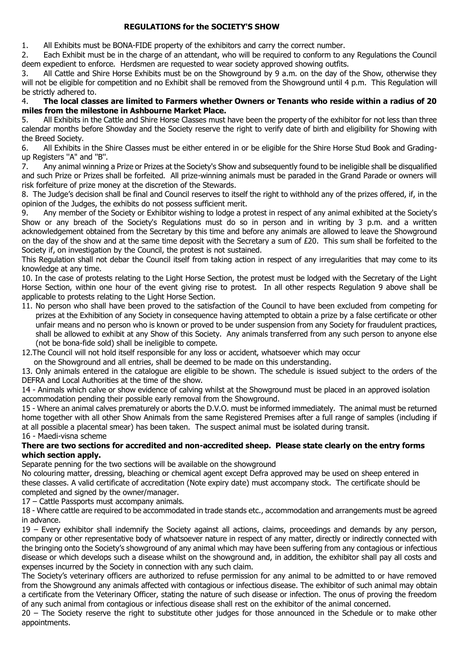#### **REGULATIONS for the SOCIETY'S SHOW**

1. All Exhibits must be BONA-FIDE property of the exhibitors and carry the correct number.

2. Each Exhibit must be in the charge of an attendant, who will be required to conform to any Regulations the Council deem expedient to enforce. Herdsmen are requested to wear society approved showing outfits.

3. All Cattle and Shire Horse Exhibits must be on the Showground by 9 a.m. on the day of the Show, otherwise they will not be eligible for competition and no Exhibit shall be removed from the Showground until 4 p.m. This Regulation will be strictly adhered to.

#### 4. **The local classes are limited to Farmers whether Owners or Tenants who reside within a radius of 20 miles from the milestone in Ashbourne Market Place.**

5. All Exhibits in the Cattle and Shire Horse Classes must have been the property of the exhibitor for not less than three calendar months before Showday and the Society reserve the right to verify date of birth and eligibility for Showing with the Breed Society.

6. All Exhibits in the Shire Classes must be either entered in or be eligible for the Shire Horse Stud Book and Gradingup Registers ''A" and ''B''.

7. Any animal winning a Prize or Prizes at the Society's Show and subsequently found to be ineligible shall be disqualified and such Prize or Prizes shall be forfeited. All prize-winning animals must be paraded in the Grand Parade or owners will risk forfeiture of prize money at the discretion of the Stewards.

8. The Judge's decision shall be final and Council reserves to itself the right to withhold any of the prizes offered, if, in the opinion of the Judges, the exhibits do not possess sufficient merit.

9. Any member of the Society or Exhibitor wishing to lodge a protest in respect of any animal exhibited at the Society's Show or any breach of the Society's Regulations must do so in person and in writing by 3 p.m. and a written acknowledgement obtained from the Secretary by this time and before any animals are allowed to leave the Showground on the day of the show and at the same time deposit with the Secretary a sum of  $E20$ . This sum shall be forfeited to the Society if, on investigation by the Council, the protest is not sustained.

This Regulation shall not debar the Council itself from taking action in respect of any irregularities that may come to its knowledge at any time.

10. In the case of protests relating to the Light Horse Section, the protest must be lodged with the Secretary of the Light Horse Section, within one hour of the event giving rise to protest. In all other respects Regulation 9 above shall be applicable to protests relating to the Light Horse Section.

11. No person who shall have been proved to the satisfaction of the Council to have been excluded from competing for prizes at the Exhibition of any Society in consequence having attempted to obtain a prize by a false certificate or other unfair means and no person who is known or proved to be under suspension from any Society for fraudulent practices, shall be allowed to exhibit at any Show of this Society. Any animals transferred from any such person to anyone else (not be bona-fide sold) shall be ineligible to compete.

12.The Council will not hold itself responsible for any loss or accident, whatsoever which may occur

on the Showground and all entries, shall be deemed to be made on this understanding.

13. Only animals entered in the catalogue are eligible to be shown. The schedule is issued subject to the orders of the DEFRA and Local Authorities at the time of the show.

14 - Animals which calve or show evidence of calving whilst at the Showground must be placed in an approved isolation accommodation pending their possible early removal from the Showground.

15 - Where an animal calves prematurely or aborts the D.V.O. must be informed immediately. The animal must be returned home together with all other Show Animals from the same Registered Premises after a full range of samples (including if at all possible a placental smear) has been taken. The suspect animal must be isolated during transit. 16 - Maedi-visna scheme

#### **There are two sections for accredited and non-accredited sheep. Please state clearly on the entry forms which section apply.**

Separate penning for the two sections will be available on the showground

No colouring matter, dressing, bleaching or chemical agent except Defra approved may be used on sheep entered in these classes. A valid certificate of accreditation (Note expiry date) must accompany stock. The certificate should be completed and signed by the owner/manager.

17 – Cattle Passports must accompany animals.

18 - Where cattle are required to be accommodated in trade stands etc., accommodation and arrangements must be agreed in advance.

19 – Every exhibitor shall indemnify the Society against all actions, claims, proceedings and demands by any person, company or other representative body of whatsoever nature in respect of any matter, directly or indirectly connected with the bringing onto the Society's showground of any animal which may have been suffering from any contagious or infectious disease or which develops such a disease whilst on the showground and, in addition, the exhibitor shall pay all costs and expenses incurred by the Society in connection with any such claim.

The Society's veterinary officers are authorized to refuse permission for any animal to be admitted to or have removed from the Showground any animals affected with contagious or infectious disease. The exhibitor of such animal may obtain a certificate from the Veterinary Officer, stating the nature of such disease or infection. The onus of proving the freedom of any such animal from contagious or infectious disease shall rest on the exhibitor of the animal concerned.

20 – The Society reserve the right to substitute other judges for those announced in the Schedule or to make other appointments.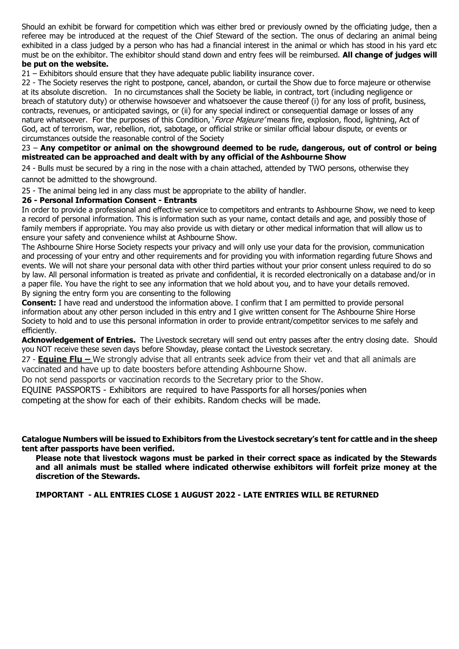Should an exhibit be forward for competition which was either bred or previously owned by the officiating judge, then a referee may be introduced at the request of the Chief Steward of the section. The onus of declaring an animal being exhibited in a class judged by a person who has had a financial interest in the animal or which has stood in his yard etc must be on the exhibitor. The exhibitor should stand down and entry fees will be reimbursed. **All change of judges will be put on the website.**

21 – Exhibitors should ensure that they have adequate public liability insurance cover.

22 - The Society reserves the right to postpone, cancel, abandon, or curtail the Show due to force majeure or otherwise at its absolute discretion. In no circumstances shall the Society be liable, in contract, tort (including negligence or breach of statutory duty) or otherwise howsoever and whatsoever the cause thereof (i) for any loss of profit, business, contracts, revenues, or anticipated savings, or (ii) for any special indirect or consequential damage or losses of any nature whatsoever. For the purposes of this Condition, *`Force Majeure'* means fire, explosion, flood, lightning, Act of God, act of terrorism, war, rebellion, riot, sabotage, or official strike or similar official labour dispute, or events or circumstances outside the reasonable control of the Society

#### 23 – **Any competitor or animal on the showground deemed to be rude, dangerous, out of control or being mistreated can be approached and dealt with by any official of the Ashbourne Show**

24 - Bulls must be secured by a ring in the nose with a chain attached, attended by TWO persons, otherwise they cannot be admitted to the showground.

25 - The animal being led in any class must be appropriate to the ability of handler.

#### **26 - Personal Information Consent - Entrants**

In order to provide a professional and effective service to competitors and entrants to Ashbourne Show, we need to keep a record of personal information. This is information such as your name, contact details and age, and possibly those of family members if appropriate. You may also provide us with dietary or other medical information that will allow us to ensure your safety and convenience whilst at Ashbourne Show.

The Ashbourne Shire Horse Society respects your privacy and will only use your data for the provision, communication and processing of your entry and other requirements and for providing you with information regarding future Shows and events. We will not share your personal data with other third parties without your prior consent unless required to do so by law. All personal information is treated as private and confidential, it is recorded electronically on a database and/or in a paper file. You have the right to see any information that we hold about you, and to have your details removed. By signing the entry form you are consenting to the following

**Consent:** I have read and understood the information above. I confirm that I am permitted to provide personal information about any other person included in this entry and I give written consent for The Ashbourne Shire Horse Society to hold and to use this personal information in order to provide entrant/competitor services to me safely and efficiently.

**Acknowledgement of Entries.** The Livestock secretary will send out entry passes after the entry closing date. Should you NOT receive these seven days before Showday, please contact the Livestock secretary.

27 - **Equine Flu –** We strongly advise that all entrants seek advice from their vet and that all animals are vaccinated and have up to date boosters before attending Ashbourne Show.

Do not send passports or vaccination records to the Secretary prior to the Show.

EQUINE PASSPORTS - Exhibitors are required to have Passports for all horses/ponies when

competing at the show for each of their exhibits. Random checks will be made.

**Catalogue Numbers will be issued to Exhibitors from the Livestock secretary's tent for cattle and in the sheep tent after passports have been verified.**

**Please note that livestock wagons must be parked in their correct space as indicated by the Stewards and all animals must be stalled where indicated otherwise exhibitors will forfeit prize money at the discretion of the Stewards.**

**IMPORTANT - ALL ENTRIES CLOSE 1 AUGUST 2022 - LATE ENTRIES WILL BE RETURNED**